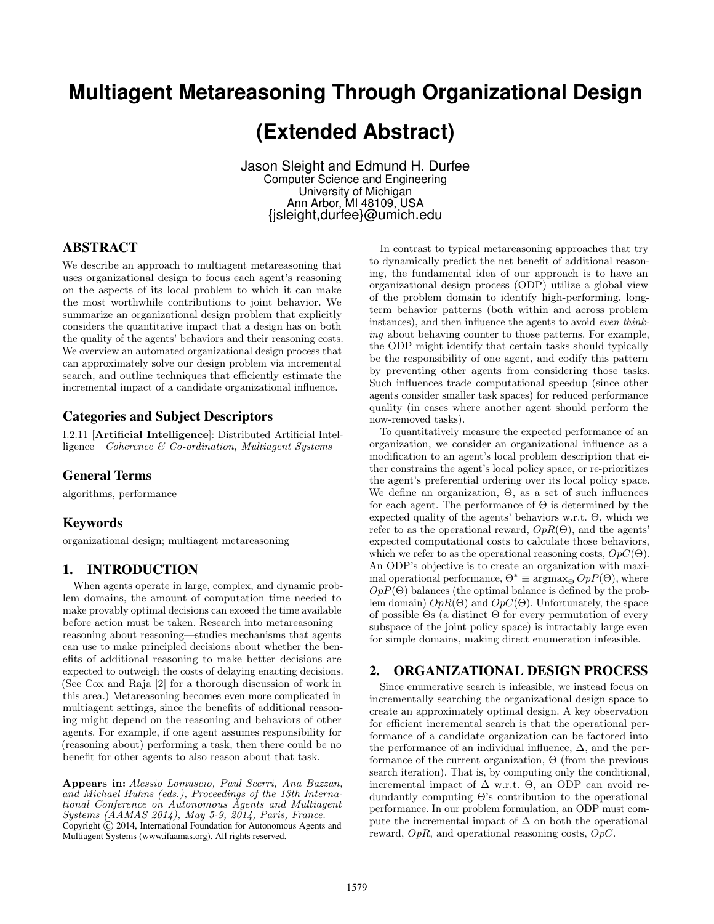# **Multiagent Metareasoning Through Organizational Design**

# **(Extended Abstract)**

Jason Sleight and Edmund H. Durfee Computer Science and Engineering University of Michigan Ann Arbor, MI 48109, USA {jsleight,durfee}@umich.edu

# ABSTRACT

We describe an approach to multiagent metareasoning that uses organizational design to focus each agent's reasoning on the aspects of its local problem to which it can make the most worthwhile contributions to joint behavior. We summarize an organizational design problem that explicitly considers the quantitative impact that a design has on both the quality of the agents' behaviors and their reasoning costs. We overview an automated organizational design process that can approximately solve our design problem via incremental search, and outline techniques that efficiently estimate the incremental impact of a candidate organizational influence.

# Categories and Subject Descriptors

I.2.11 [Artificial Intelligence]: Distributed Artificial Intelligence—Coherence & Co-ordination, Multiagent Systems

## General Terms

algorithms, performance

#### Keywords

organizational design; multiagent metareasoning

## 1. INTRODUCTION

When agents operate in large, complex, and dynamic problem domains, the amount of computation time needed to make provably optimal decisions can exceed the time available before action must be taken. Research into metareasoning reasoning about reasoning—studies mechanisms that agents can use to make principled decisions about whether the benefits of additional reasoning to make better decisions are expected to outweigh the costs of delaying enacting decisions. (See Cox and Raja [2] for a thorough discussion of work in this area.) Metareasoning becomes even more complicated in multiagent settings, since the benefits of additional reasoning might depend on the reasoning and behaviors of other agents. For example, if one agent assumes responsibility for (reasoning about) performing a task, then there could be no benefit for other agents to also reason about that task.

Appears in: Alessio Lomuscio, Paul Scerri, Ana Bazzan, and Michael Huhns (eds.), Proceedings of the 13th International Conference on Autonomous Agents and Multiagent Systems (AAMAS 2014), May 5-9, 2014, Paris, France. Copyright (c) 2014, International Foundation for Autonomous Agents and Multiagent Systems (www.ifaamas.org). All rights reserved.

In contrast to typical metareasoning approaches that try to dynamically predict the net benefit of additional reasoning, the fundamental idea of our approach is to have an organizational design process (ODP) utilize a global view of the problem domain to identify high-performing, longterm behavior patterns (both within and across problem instances), and then influence the agents to avoid even thinking about behaving counter to those patterns. For example, the ODP might identify that certain tasks should typically be the responsibility of one agent, and codify this pattern by preventing other agents from considering those tasks. Such influences trade computational speedup (since other agents consider smaller task spaces) for reduced performance quality (in cases where another agent should perform the now-removed tasks).

To quantitatively measure the expected performance of an organization, we consider an organizational influence as a modification to an agent's local problem description that either constrains the agent's local policy space, or re-prioritizes the agent's preferential ordering over its local policy space. We define an organization, Θ, as a set of such influences for each agent. The performance of  $\Theta$  is determined by the expected quality of the agents' behaviors w.r.t. Θ, which we refer to as the operational reward,  $OpR(\Theta)$ , and the agents' expected computational costs to calculate those behaviors, which we refer to as the operational reasoning costs,  $OpC(\Theta)$ . An ODP's objective is to create an organization with maximal operational performance,  $\Theta^* \equiv \arg\max_{\Theta} OpP(\Theta)$ , where  $OpP(\Theta)$  balances (the optimal balance is defined by the problem domain)  $OpR(\Theta)$  and  $OpC(\Theta)$ . Unfortunately, the space of possible  $\Theta$ s (a distinct  $\Theta$  for every permutation of every subspace of the joint policy space) is intractably large even for simple domains, making direct enumeration infeasible.

## 2. ORGANIZATIONAL DESIGN PROCESS

Since enumerative search is infeasible, we instead focus on incrementally searching the organizational design space to create an approximately optimal design. A key observation for efficient incremental search is that the operational performance of a candidate organization can be factored into the performance of an individual influence,  $\Delta$ , and the performance of the current organization,  $\Theta$  (from the previous search iteration). That is, by computing only the conditional, incremental impact of  $\Delta$  w.r.t.  $\Theta$ , an ODP can avoid redundantly computing Θ's contribution to the operational performance. In our problem formulation, an ODP must compute the incremental impact of  $\Delta$  on both the operational reward,  $OpR$ , and operational reasoning costs,  $OpC$ .